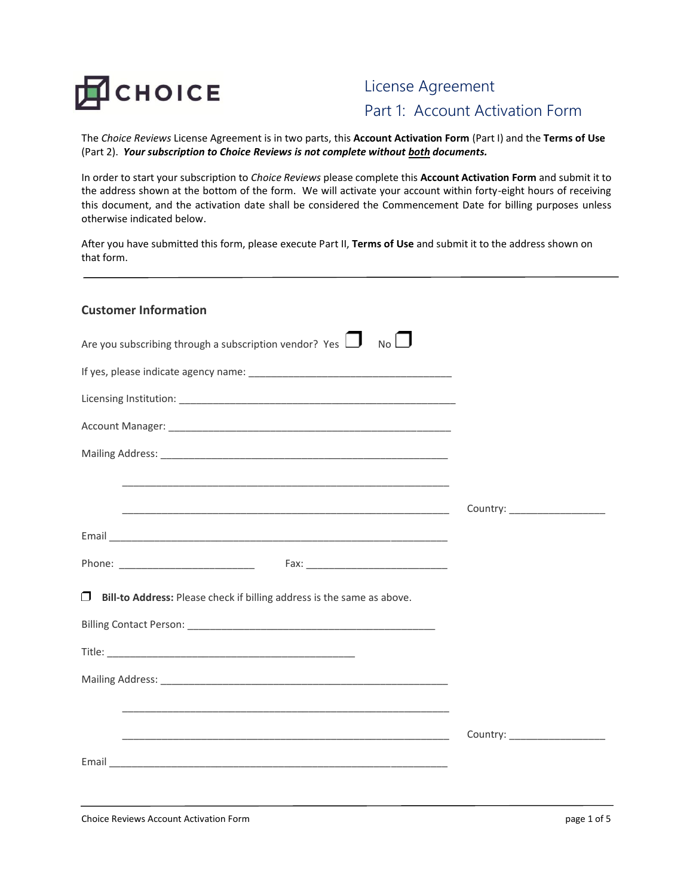

# License Agreement Part 1: Account Activation Form

The *Choice Reviews* License Agreement is in two parts, this **Account Activation Form** (Part I) and the **Terms of Use** (Part 2). *Your subscription to Choice Reviews is not complete without both documents.* 

In order to start your subscription to *Choice Reviews* please complete this **Account Activation Form** and submit it to the address shown at the bottom of the form. We will activate your account within forty-eight hours of receiving this document, and the activation date shall be considered the Commencement Date for billing purposes unless otherwise indicated below.

After you have submitted this form, please execute Part II, **Terms of Use** and submit it to the address shown on that form.

| <b>Customer Information</b>                                                                                                                                                                                                   |                               |
|-------------------------------------------------------------------------------------------------------------------------------------------------------------------------------------------------------------------------------|-------------------------------|
| Are you subscribing through a subscription vendor? Yes $\Box$ No $\Box$                                                                                                                                                       |                               |
|                                                                                                                                                                                                                               |                               |
|                                                                                                                                                                                                                               |                               |
|                                                                                                                                                                                                                               |                               |
| Mailing Address: Lawrence and Contact and Contact and Contact and Contact and Contact and Contact and Contact and Contact and Contact and Contact and Contact and Contact and Contact and Contact and Contact and Contact and |                               |
|                                                                                                                                                                                                                               |                               |
|                                                                                                                                                                                                                               |                               |
|                                                                                                                                                                                                                               |                               |
|                                                                                                                                                                                                                               |                               |
| $\Box$ Bill-to Address: Please check if billing address is the same as above.                                                                                                                                                 |                               |
|                                                                                                                                                                                                                               |                               |
|                                                                                                                                                                                                                               |                               |
|                                                                                                                                                                                                                               |                               |
|                                                                                                                                                                                                                               |                               |
|                                                                                                                                                                                                                               | Country: ____________________ |
|                                                                                                                                                                                                                               |                               |
|                                                                                                                                                                                                                               |                               |
|                                                                                                                                                                                                                               |                               |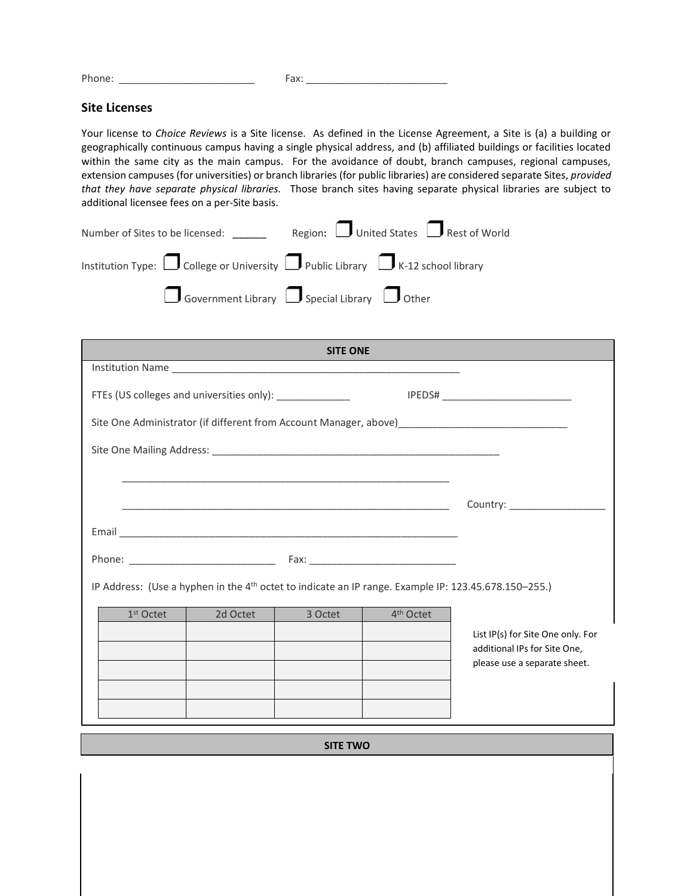Phone: \_\_\_\_\_\_\_\_\_\_\_\_\_\_\_\_\_\_\_\_\_\_\_\_ Fax: \_\_\_\_\_\_\_\_\_\_\_\_\_\_\_\_\_\_\_\_\_\_\_\_\_

#### **Site Licenses**

Your license to *Choice Reviews* is a Site license. As defined in the License Agreement, a Site is (a) a building or geographically continuous campus having a single physical address, and (b) affiliated buildings or facilities located within the same city as the main campus. For the avoidance of doubt, branch campuses, regional campuses, extension campuses (for universities) or branch libraries (for public libraries) are considered separate Sites, *provided that they have separate physical libraries.* Those branch sites having separate physical libraries are subject to additional licensee fees on a per-Site basis.

| Number of Sites to be licensed:                                                                 | Region: $\Box$ United States $\Box$ Rest of World |
|-------------------------------------------------------------------------------------------------|---------------------------------------------------|
| Institution Type: $\Box$ College or University $\Box$ Public Library $\Box$ K-12 school library |                                                   |
| $\Box$ Government Library $\Box$ Special Library $\Box$ Other                                   |                                                   |

| <b>SITE ONE</b>                                          |          |                                                                                                                       |                       |                                                                                                                  |
|----------------------------------------------------------|----------|-----------------------------------------------------------------------------------------------------------------------|-----------------------|------------------------------------------------------------------------------------------------------------------|
|                                                          |          |                                                                                                                       |                       |                                                                                                                  |
| FTEs (US colleges and universities only): ______________ |          |                                                                                                                       |                       |                                                                                                                  |
|                                                          |          |                                                                                                                       |                       | Site One Administrator (if different from Account Manager, above)__________________________________              |
|                                                          |          |                                                                                                                       |                       |                                                                                                                  |
|                                                          |          | <u> 1989 - Johann Stoff, deutscher Stoff, der Stoff, der Stoff, der Stoff, der Stoff, der Stoff, der Stoff, der S</u> |                       |                                                                                                                  |
|                                                          |          |                                                                                                                       |                       |                                                                                                                  |
|                                                          |          |                                                                                                                       |                       |                                                                                                                  |
|                                                          |          |                                                                                                                       |                       |                                                                                                                  |
|                                                          |          |                                                                                                                       |                       | IP Address: (Use a hyphen in the 4 <sup>th</sup> octet to indicate an IP range. Example IP: 123.45.678.150-255.) |
| $1st$ Octet                                              | 2d Octet | $\vert$ 3 Octet                                                                                                       | 4 <sup>th</sup> Octet |                                                                                                                  |
|                                                          |          |                                                                                                                       |                       | List IP(s) for Site One only. For<br>additional IPs for Site One,                                                |
|                                                          |          |                                                                                                                       |                       | please use a separate sheet.                                                                                     |
|                                                          |          |                                                                                                                       |                       |                                                                                                                  |
|                                                          |          |                                                                                                                       |                       |                                                                                                                  |
| <b>SITE TWO</b>                                          |          |                                                                                                                       |                       |                                                                                                                  |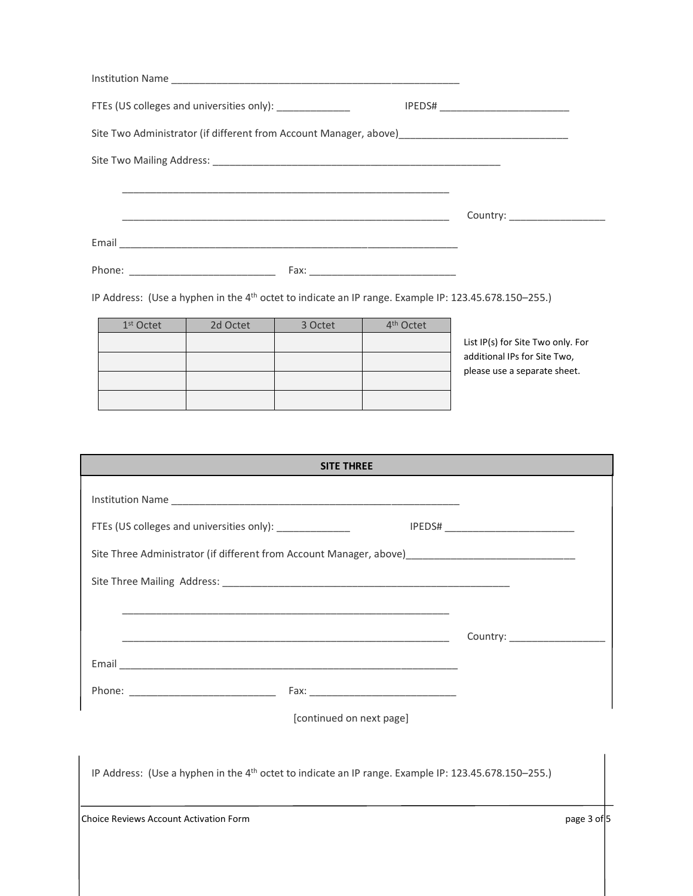| FTEs (US colleges and universities only): ______________ |          |         |                       |                                                                                                                  |
|----------------------------------------------------------|----------|---------|-----------------------|------------------------------------------------------------------------------------------------------------------|
|                                                          |          |         |                       | Site Two Administrator (if different from Account Manager, above) _________________________________              |
|                                                          |          |         |                       |                                                                                                                  |
|                                                          |          |         |                       |                                                                                                                  |
|                                                          |          |         |                       | Country: _____________________                                                                                   |
|                                                          |          |         |                       |                                                                                                                  |
|                                                          |          |         |                       |                                                                                                                  |
|                                                          |          |         |                       | IP Address: (Use a hyphen in the 4 <sup>th</sup> octet to indicate an IP range. Example IP: 123.45.678.150-255.) |
| $1st$ Octet                                              | 2d Octet | 3 Octet | 4 <sup>th</sup> Octet |                                                                                                                  |
|                                                          |          |         |                       | List IP(s) for Site Two only. For                                                                                |
|                                                          |          |         |                       | additional IPs for Site Two,                                                                                     |
|                                                          |          |         |                       | please use a separate sheet.                                                                                     |

| <b>SITE THREE</b>                                                                                                |             |
|------------------------------------------------------------------------------------------------------------------|-------------|
|                                                                                                                  |             |
| FTEs (US colleges and universities only): ________________                                                       |             |
| Site Three Administrator (if different from Account Manager, above)________________________________              |             |
|                                                                                                                  |             |
|                                                                                                                  |             |
|                                                                                                                  |             |
|                                                                                                                  |             |
|                                                                                                                  |             |
| [continued on next page]                                                                                         |             |
|                                                                                                                  |             |
| IP Address: (Use a hyphen in the 4 <sup>th</sup> octet to indicate an IP range. Example IP: 123.45.678.150-255.) |             |
| <b>Choice Reviews Account Activation Form</b>                                                                    | page 3 of 5 |
|                                                                                                                  |             |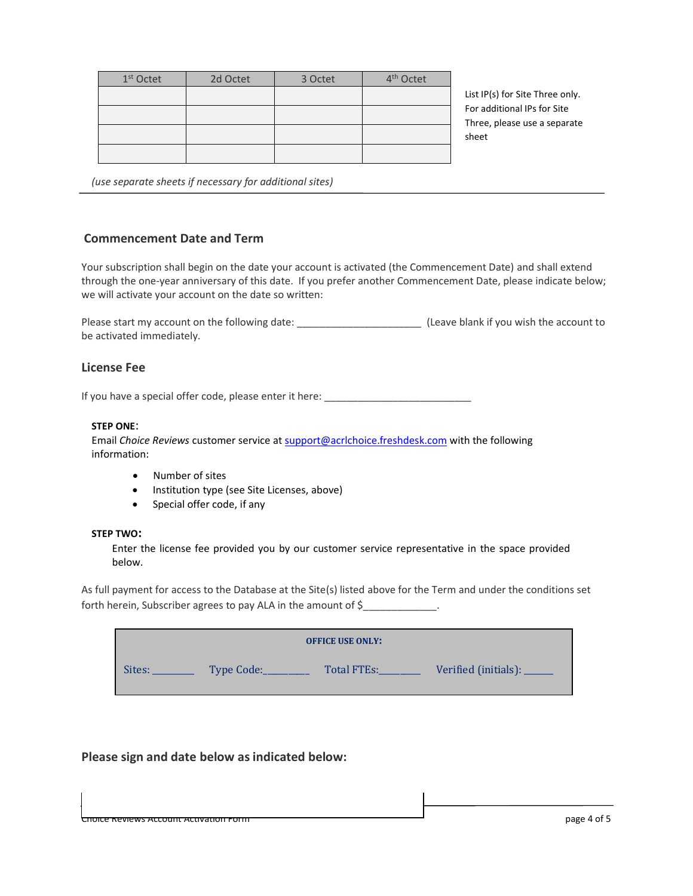| 1 <sup>st</sup> Octet | 2d Octet | 3 Octet | 4 <sup>th</sup> Octet |
|-----------------------|----------|---------|-----------------------|
|                       |          |         |                       |
|                       |          |         |                       |
|                       |          |         |                       |
|                       |          |         |                       |

List IP(s) for Site Three only. For additional IPs for Site Three, please use a separate sheet

 *(use separate sheets if necessary for additional sites)*

## **Commencement Date and Term**

Your subscription shall begin on the date your account is activated (the Commencement Date) and shall extend through the one-year anniversary of this date. If you prefer another Commencement Date, please indicate below; we will activate your account on the date so written:

Please start my account on the following date: \_\_\_\_\_\_\_\_\_\_\_\_\_\_\_\_\_\_\_\_\_\_ (Leave blank if you wish the account to be activated immediately.

### **License Fee**

If you have a special offer code, please enter it here:

#### **STEP ONE**:

Email *Choice Reviews* customer service a[t support@acrlchoice.freshdesk.com](mailto:support@acrlchoice.freshdesk.com) with the following information:

- Number of sites
- Institution type (see Site Licenses, above)
- Special offer code, if any

#### **STEP TWO:**

Enter the license fee provided you by our customer service representative in the space provided below.

As full payment for access to the Database at the Site(s) listed above for the Term and under the conditions set forth herein, Subscriber agrees to pay ALA in the amount of \$

| <b>OFFICE USE ONLY:</b> |            |             |                      |
|-------------------------|------------|-------------|----------------------|
| Sites:                  | Type Code: | Total FTEs: | Verified (initials): |

## **Please sign and date below as indicated below:**